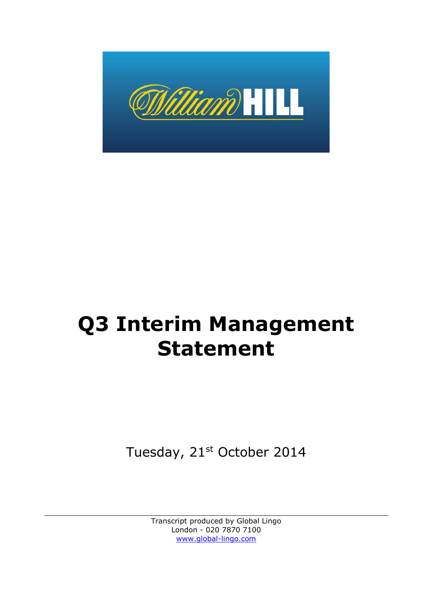

# **Q3 Interim Management Statement**

Tuesday, 21st October 2014

Transcript produced by Global Lingo London - 020 7870 7100 [www.global-lingo.com](http://www.global-lingo.com/)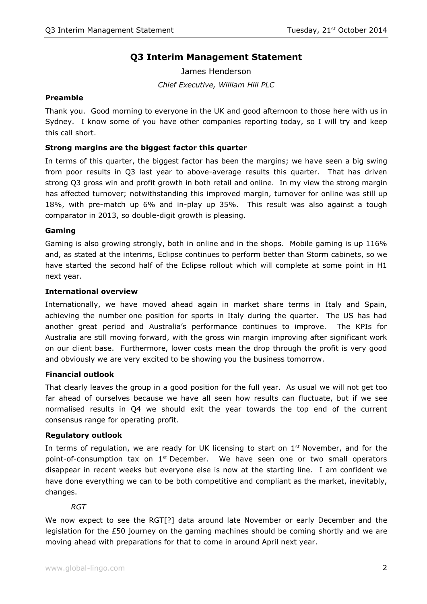# **Q3 Interim Management Statement**

James Henderson *Chief Executive, William Hill PLC*

# **Preamble**

Thank you. Good morning to everyone in the UK and good afternoon to those here with us in Sydney. I know some of you have other companies reporting today, so I will try and keep this call short.

#### **Strong margins are the biggest factor this quarter**

In terms of this quarter, the biggest factor has been the margins; we have seen a big swing from poor results in Q3 last year to above-average results this quarter. That has driven strong Q3 gross win and profit growth in both retail and online. In my view the strong margin has affected turnover; notwithstanding this improved margin, turnover for online was still up 18%, with pre-match up 6% and in-play up 35%. This result was also against a tough comparator in 2013, so double-digit growth is pleasing.

#### **Gaming**

Gaming is also growing strongly, both in online and in the shops. Mobile gaming is up 116% and, as stated at the interims, Eclipse continues to perform better than Storm cabinets, so we have started the second half of the Eclipse rollout which will complete at some point in H1 next year.

#### **International overview**

Internationally, we have moved ahead again in market share terms in Italy and Spain, achieving the number one position for sports in Italy during the quarter. The US has had another great period and Australia's performance continues to improve. The KPIs for Australia are still moving forward, with the gross win margin improving after significant work on our client base. Furthermore, lower costs mean the drop through the profit is very good and obviously we are very excited to be showing you the business tomorrow.

#### **Financial outlook**

That clearly leaves the group in a good position for the full year. As usual we will not get too far ahead of ourselves because we have all seen how results can fluctuate, but if we see normalised results in Q4 we should exit the year towards the top end of the current consensus range for operating profit.

#### **Regulatory outlook**

In terms of regulation, we are ready for UK licensing to start on  $1<sup>st</sup>$  November, and for the point-of-consumption tax on  $1^{st}$  December. We have seen one or two small operators disappear in recent weeks but everyone else is now at the starting line. I am confident we have done everything we can to be both competitive and compliant as the market, inevitably, changes.

#### *RGT*

We now expect to see the RGT[?] data around late November or early December and the legislation for the £50 journey on the gaming machines should be coming shortly and we are moving ahead with preparations for that to come in around April next year.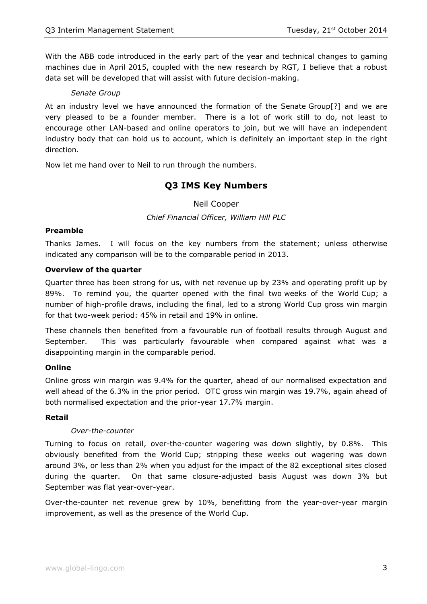With the ABB code introduced in the early part of the year and technical changes to gaming machines due in April 2015, coupled with the new research by RGT, I believe that a robust data set will be developed that will assist with future decision-making.

# *Senate Group*

At an industry level we have announced the formation of the Senate Group[?] and we are very pleased to be a founder member. There is a lot of work still to do, not least to encourage other LAN-based and online operators to join, but we will have an independent industry body that can hold us to account, which is definitely an important step in the right direction.

Now let me hand over to Neil to run through the numbers.

# **Q3 IMS Key Numbers**

Neil Cooper

*Chief Financial Officer, William Hill PLC*

# **Preamble**

Thanks James. I will focus on the key numbers from the statement; unless otherwise indicated any comparison will be to the comparable period in 2013.

#### **Overview of the quarter**

Quarter three has been strong for us, with net revenue up by 23% and operating profit up by 89%. To remind you, the quarter opened with the final two weeks of the World Cup; a number of high-profile draws, including the final, led to a strong World Cup gross win margin for that two-week period: 45% in retail and 19% in online.

These channels then benefited from a favourable run of football results through August and September. This was particularly favourable when compared against what was a disappointing margin in the comparable period.

# **Online**

Online gross win margin was 9.4% for the quarter, ahead of our normalised expectation and well ahead of the 6.3% in the prior period. OTC gross win margin was 19.7%, again ahead of both normalised expectation and the prior-year 17.7% margin.

# **Retail**

# *Over-the-counter*

Turning to focus on retail, over-the-counter wagering was down slightly, by 0.8%. This obviously benefited from the World Cup; stripping these weeks out wagering was down around 3%, or less than 2% when you adjust for the impact of the 82 exceptional sites closed during the quarter. On that same closure-adjusted basis August was down 3% but September was flat year-over-year.

Over-the-counter net revenue grew by 10%, benefitting from the year-over-year margin improvement, as well as the presence of the World Cup.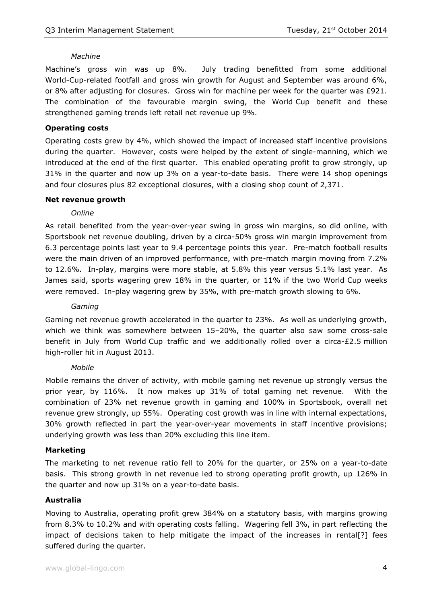#### *Machine*

Machine's gross win was up 8%. July trading benefitted from some additional World-Cup-related footfall and gross win growth for August and September was around 6%, or 8% after adjusting for closures. Gross win for machine per week for the quarter was £921. The combination of the favourable margin swing, the World Cup benefit and these strengthened gaming trends left retail net revenue up 9%.

# **Operating costs**

Operating costs grew by 4%, which showed the impact of increased staff incentive provisions during the quarter. However, costs were helped by the extent of single-manning, which we introduced at the end of the first quarter. This enabled operating profit to grow strongly, up 31% in the quarter and now up 3% on a year-to-date basis. There were 14 shop openings and four closures plus 82 exceptional closures, with a closing shop count of 2,371.

#### **Net revenue growth**

#### *Online*

As retail benefited from the year-over-year swing in gross win margins, so did online, with Sportsbook net revenue doubling, driven by a circa-50% gross win margin improvement from 6.3 percentage points last year to 9.4 percentage points this year. Pre-match football results were the main driven of an improved performance, with pre-match margin moving from 7.2% to 12.6%. In-play, margins were more stable, at 5.8% this year versus 5.1% last year. As James said, sports wagering grew 18% in the quarter, or 11% if the two World Cup weeks were removed. In-play wagering grew by 35%, with pre-match growth slowing to 6%.

### *Gaming*

Gaming net revenue growth accelerated in the quarter to 23%. As well as underlying growth, which we think was somewhere between 15–20%, the quarter also saw some cross-sale benefit in July from World Cup traffic and we additionally rolled over a circa- $£2.5$  million high-roller hit in August 2013.

#### *Mobile*

Mobile remains the driver of activity, with mobile gaming net revenue up strongly versus the prior year, by 116%. It now makes up 31% of total gaming net revenue. With the combination of 23% net revenue growth in gaming and 100% in Sportsbook, overall net revenue grew strongly, up 55%. Operating cost growth was in line with internal expectations, 30% growth reflected in part the year-over-year movements in staff incentive provisions; underlying growth was less than 20% excluding this line item.

# **Marketing**

The marketing to net revenue ratio fell to 20% for the quarter, or 25% on a year-to-date basis. This strong growth in net revenue led to strong operating profit growth, up 126% in the quarter and now up 31% on a year-to-date basis.

# **Australia**

Moving to Australia, operating profit grew 384% on a statutory basis, with margins growing from 8.3% to 10.2% and with operating costs falling. Wagering fell 3%, in part reflecting the impact of decisions taken to help mitigate the impact of the increases in rental[?] fees suffered during the quarter.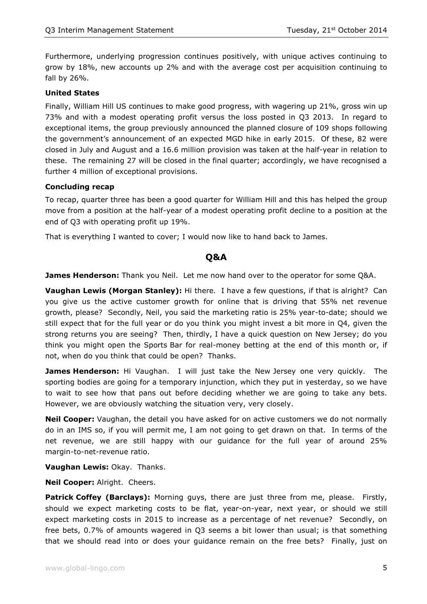Furthermore, underlying progression continues positively, with unique actives continuing to grow by 18%, new accounts up 2% and with the average cost per acquisition continuing to fall by 26%.

#### **United States**

Finally, William Hill US continues to make good progress, with wagering up 21%, gross win up 73% and with a modest operating profit versus the loss posted in Q3 2013. In regard to exceptional items, the group previously announced the planned closure of 109 shops following the government's announcement of an expected MGD hike in early 2015. Of these, 82 were closed in July and August and a 16.6 million provision was taken at the half-year in relation to these. The remaining 27 will be closed in the final quarter; accordingly, we have recognised a further 4 million of exceptional provisions.

#### **Concluding recap**

To recap, quarter three has been a good quarter for William Hill and this has helped the group move from a position at the half-year of a modest operating profit decline to a position at the end of Q3 with operating profit up 19%.

That is everything I wanted to cover; I would now like to hand back to James.

# **Q&A**

**James Henderson:** Thank you Neil. Let me now hand over to the operator for some Q&A.

**Vaughan Lewis (Morgan Stanley):** Hi there. I have a few questions, if that is alright? Can you give us the active customer growth for online that is driving that 55% net revenue growth, please? Secondly, Neil, you said the marketing ratio is 25% year-to-date; should we still expect that for the full year or do you think you might invest a bit more in Q4, given the strong returns you are seeing? Then, thirdly, I have a quick question on New Jersey; do you think you might open the Sports Bar for real-money betting at the end of this month or, if not, when do you think that could be open? Thanks.

**James Henderson:** Hi Vaughan. I will just take the New Jersey one very quickly. The sporting bodies are going for a temporary injunction, which they put in yesterday, so we have to wait to see how that pans out before deciding whether we are going to take any bets. However, we are obviously watching the situation very, very closely.

**Neil Cooper:** Vaughan, the detail you have asked for on active customers we do not normally do in an IMS so, if you will permit me, I am not going to get drawn on that. In terms of the net revenue, we are still happy with our guidance for the full year of around 25% margin-to-net-revenue ratio.

**Vaughan Lewis:** Okay. Thanks.

**Neil Cooper:** Alright. Cheers.

**Patrick Coffey (Barclays):** Morning guys, there are just three from me, please. Firstly, should we expect marketing costs to be flat, year-on-year, next year, or should we still expect marketing costs in 2015 to increase as a percentage of net revenue? Secondly, on free bets, 0.7% of amounts wagered in Q3 seems a bit lower than usual; is that something that we should read into or does your guidance remain on the free bets? Finally, just on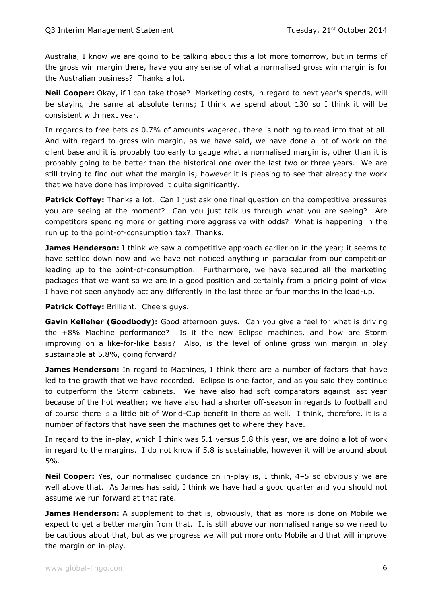Australia, I know we are going to be talking about this a lot more tomorrow, but in terms of the gross win margin there, have you any sense of what a normalised gross win margin is for the Australian business? Thanks a lot.

**Neil Cooper:** Okay, if I can take those? Marketing costs, in regard to next year's spends, will be staying the same at absolute terms; I think we spend about 130 so I think it will be consistent with next year.

In regards to free bets as 0.7% of amounts wagered, there is nothing to read into that at all. And with regard to gross win margin, as we have said, we have done a lot of work on the client base and it is probably too early to gauge what a normalised margin is, other than it is probably going to be better than the historical one over the last two or three years. We are still trying to find out what the margin is; however it is pleasing to see that already the work that we have done has improved it quite significantly.

Patrick Coffey: Thanks a lot. Can I just ask one final question on the competitive pressures you are seeing at the moment? Can you just talk us through what you are seeing? Are competitors spending more or getting more aggressive with odds? What is happening in the run up to the point-of-consumption tax? Thanks.

**James Henderson:** I think we saw a competitive approach earlier on in the year; it seems to have settled down now and we have not noticed anything in particular from our competition leading up to the point-of-consumption. Furthermore, we have secured all the marketing packages that we want so we are in a good position and certainly from a pricing point of view I have not seen anybody act any differently in the last three or four months in the lead-up.

**Patrick Coffey:** Brilliant. Cheers guys.

**Gavin Kelleher (Goodbody):** Good afternoon guys. Can you give a feel for what is driving the +8% Machine performance? Is it the new Eclipse machines, and how are Storm improving on a like-for-like basis? Also, is the level of online gross win margin in play sustainable at 5.8%, going forward?

**James Henderson:** In regard to Machines, I think there are a number of factors that have led to the growth that we have recorded. Eclipse is one factor, and as you said they continue to outperform the Storm cabinets. We have also had soft comparators against last year because of the hot weather; we have also had a shorter off-season in regards to football and of course there is a little bit of World-Cup benefit in there as well. I think, therefore, it is a number of factors that have seen the machines get to where they have.

In regard to the in-play, which I think was 5.1 versus 5.8 this year, we are doing a lot of work in regard to the margins. I do not know if 5.8 is sustainable, however it will be around about 5%.

**Neil Cooper:** Yes, our normalised guidance on in-play is, I think, 4–5 so obviously we are well above that. As James has said, I think we have had a good quarter and you should not assume we run forward at that rate.

**James Henderson:** A supplement to that is, obviously, that as more is done on Mobile we expect to get a better margin from that. It is still above our normalised range so we need to be cautious about that, but as we progress we will put more onto Mobile and that will improve the margin on in-play.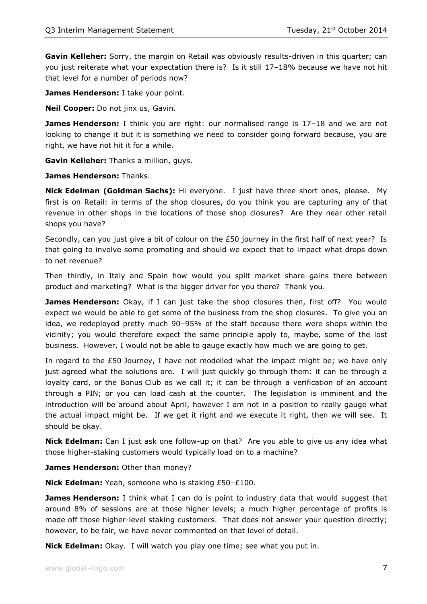**Gavin Kelleher:** Sorry, the margin on Retail was obviously results-driven in this quarter; can you just reiterate what your expectation there is? Is it still 17–18% because we have not hit that level for a number of periods now?

**James Henderson:** I take your point.

**Neil Cooper:** Do not jinx us, Gavin.

**James Henderson:** I think you are right: our normalised range is 17–18 and we are not looking to change it but it is something we need to consider going forward because, you are right, we have not hit it for a while.

**Gavin Kelleher:** Thanks a million, guys.

**James Henderson:** Thanks.

**Nick Edelman (Goldman Sachs):** Hi everyone. I just have three short ones, please. My first is on Retail: in terms of the shop closures, do you think you are capturing any of that revenue in other shops in the locations of those shop closures? Are they near other retail shops you have?

Secondly, can you just give a bit of colour on the £50 journey in the first half of next year? Is that going to involve some promoting and should we expect that to impact what drops down to net revenue?

Then thirdly, in Italy and Spain how would you split market share gains there between product and marketing? What is the bigger driver for you there? Thank you.

**James Henderson:** Okay, if I can just take the shop closures then, first off? You would expect we would be able to get some of the business from the shop closures. To give you an idea, we redeployed pretty much 90–95% of the staff because there were shops within the vicinity; you would therefore expect the same principle apply to, maybe, some of the lost business. However, I would not be able to gauge exactly how much we are going to get.

In regard to the  $£50$  Journey, I have not modelled what the impact might be; we have only just agreed what the solutions are. I will just quickly go through them: it can be through a loyalty card, or the Bonus Club as we call it; it can be through a verification of an account through a PIN; or you can load cash at the counter. The legislation is imminent and the introduction will be around about April, however I am not in a position to really gauge what the actual impact might be. If we get it right and we execute it right, then we will see. It should be okay.

**Nick Edelman:** Can I just ask one follow-up on that? Are you able to give us any idea what those higher-staking customers would typically load on to a machine?

**James Henderson:** Other than money?

**Nick Edelman:** Yeah, someone who is staking £50–£100.

**James Henderson:** I think what I can do is point to industry data that would suggest that around 8% of sessions are at those higher levels; a much higher percentage of profits is made off those higher-level staking customers. That does not answer your question directly; however, to be fair, we have never commented on that level of detail.

**Nick Edelman:** Okay. I will watch you play one time; see what you put in.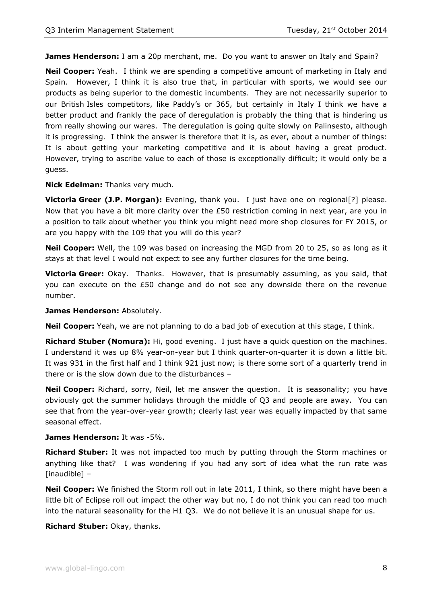**James Henderson:** I am a 20p merchant, me. Do you want to answer on Italy and Spain?

**Neil Cooper:** Yeah. I think we are spending a competitive amount of marketing in Italy and Spain. However, I think it is also true that, in particular with sports, we would see our products as being superior to the domestic incumbents. They are not necessarily superior to our British Isles competitors, like Paddy's or 365, but certainly in Italy I think we have a better product and frankly the pace of deregulation is probably the thing that is hindering us from really showing our wares. The deregulation is going quite slowly on Palinsesto, although it is progressing. I think the answer is therefore that it is, as ever, about a number of things: It is about getting your marketing competitive and it is about having a great product. However, trying to ascribe value to each of those is exceptionally difficult; it would only be a guess.

#### **Nick Edelman:** Thanks very much.

**Victoria Greer (J.P. Morgan):** Evening, thank you. I just have one on regional[?] please. Now that you have a bit more clarity over the £50 restriction coming in next year, are you in a position to talk about whether you think you might need more shop closures for FY 2015, or are you happy with the 109 that you will do this year?

**Neil Cooper:** Well, the 109 was based on increasing the MGD from 20 to 25, so as long as it stays at that level I would not expect to see any further closures for the time being.

**Victoria Greer:** Okay. Thanks. However, that is presumably assuming, as you said, that you can execute on the £50 change and do not see any downside there on the revenue number.

**James Henderson:** Absolutely.

**Neil Cooper:** Yeah, we are not planning to do a bad job of execution at this stage, I think.

**Richard Stuber (Nomura):** Hi, good evening. I just have a quick question on the machines. I understand it was up 8% year-on-year but I think quarter-on-quarter it is down a little bit. It was 931 in the first half and I think 921 just now; is there some sort of a quarterly trend in there or is the slow down due to the disturbances –

**Neil Cooper:** Richard, sorry, Neil, let me answer the question. It is seasonality; you have obviously got the summer holidays through the middle of Q3 and people are away. You can see that from the year-over-year growth; clearly last year was equally impacted by that same seasonal effect.

#### **James Henderson:** It was -5%.

**Richard Stuber:** It was not impacted too much by putting through the Storm machines or anything like that? I was wondering if you had any sort of idea what the run rate was [inaudible] –

**Neil Cooper:** We finished the Storm roll out in late 2011, I think, so there might have been a little bit of Eclipse roll out impact the other way but no, I do not think you can read too much into the natural seasonality for the H1 Q3. We do not believe it is an unusual shape for us.

#### **Richard Stuber:** Okay, thanks.